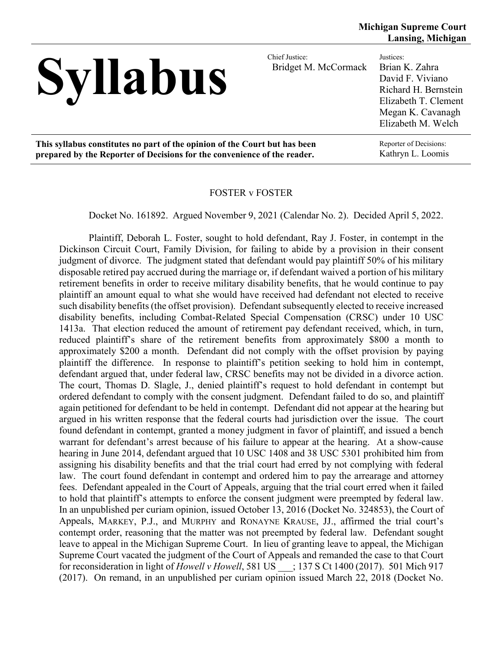# Syllabus Chief Justice:

Bridget M. McCormack

Justices: Brian K. Zahra David F. Viviano Richard H. Bernstein Elizabeth T. Clement Megan K. Cavanagh Elizabeth M. Welch

**This syllabus constitutes no part of the opinion of the Court but has been prepared by the Reporter of Decisions for the convenience of the reader.**

Reporter of Decisions: Kathryn L. Loomis

### FOSTER v FOSTER

Docket No. 161892. Argued November 9, 2021 (Calendar No. 2). Decided April 5, 2022.

Plaintiff, Deborah L. Foster, sought to hold defendant, Ray J. Foster, in contempt in the Dickinson Circuit Court, Family Division, for failing to abide by a provision in their consent judgment of divorce. The judgment stated that defendant would pay plaintiff 50% of his military disposable retired pay accrued during the marriage or, if defendant waived a portion of his military retirement benefits in order to receive military disability benefits, that he would continue to pay plaintiff an amount equal to what she would have received had defendant not elected to receive such disability benefits (the offset provision). Defendant subsequently elected to receive increased disability benefits, including Combat-Related Special Compensation (CRSC) under 10 USC 1413a. That election reduced the amount of retirement pay defendant received, which, in turn, reduced plaintiff's share of the retirement benefits from approximately \$800 a month to approximately \$200 a month. Defendant did not comply with the offset provision by paying plaintiff the difference. In response to plaintiff's petition seeking to hold him in contempt, defendant argued that, under federal law, CRSC benefits may not be divided in a divorce action. The court, Thomas D. Slagle, J., denied plaintiff's request to hold defendant in contempt but ordered defendant to comply with the consent judgment. Defendant failed to do so, and plaintiff again petitioned for defendant to be held in contempt. Defendant did not appear at the hearing but argued in his written response that the federal courts had jurisdiction over the issue. The court found defendant in contempt, granted a money judgment in favor of plaintiff, and issued a bench warrant for defendant's arrest because of his failure to appear at the hearing. At a show-cause hearing in June 2014, defendant argued that 10 USC 1408 and 38 USC 5301 prohibited him from assigning his disability benefits and that the trial court had erred by not complying with federal law. The court found defendant in contempt and ordered him to pay the arrearage and attorney fees. Defendant appealed in the Court of Appeals, arguing that the trial court erred when it failed to hold that plaintiff's attempts to enforce the consent judgment were preempted by federal law. In an unpublished per curiam opinion, issued October 13, 2016 (Docket No. 324853), the Court of Appeals, MARKEY, P.J., and MURPHY and RONAYNE KRAUSE, JJ., affirmed the trial court's contempt order, reasoning that the matter was not preempted by federal law. Defendant sought leave to appeal in the Michigan Supreme Court. In lieu of granting leave to appeal, the Michigan Supreme Court vacated the judgment of the Court of Appeals and remanded the case to that Court for reconsideration in light of *Howell v Howell*, 581 US \_\_\_; 137 S Ct 1400 (2017). 501 Mich 917 (2017). On remand, in an unpublished per curiam opinion issued March 22, 2018 (Docket No.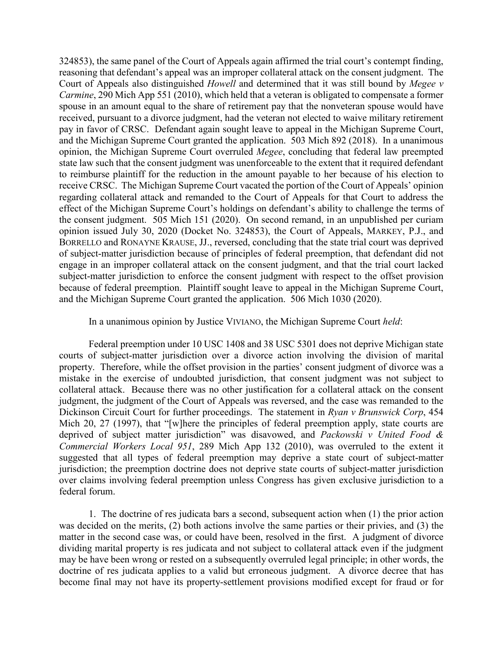324853), the same panel of the Court of Appeals again affirmed the trial court's contempt finding, reasoning that defendant's appeal was an improper collateral attack on the consent judgment. The Court of Appeals also distinguished *Howell* and determined that it was still bound by *Megee v Carmine*, 290 Mich App 551 (2010), which held that a veteran is obligated to compensate a former spouse in an amount equal to the share of retirement pay that the nonveteran spouse would have received, pursuant to a divorce judgment, had the veteran not elected to waive military retirement pay in favor of CRSC. Defendant again sought leave to appeal in the Michigan Supreme Court, and the Michigan Supreme Court granted the application. 503 Mich 892 (2018). In a unanimous opinion, the Michigan Supreme Court overruled *Megee*, concluding that federal law preempted state law such that the consent judgment was unenforceable to the extent that it required defendant to reimburse plaintiff for the reduction in the amount payable to her because of his election to receive CRSC. The Michigan Supreme Court vacated the portion of the Court of Appeals' opinion regarding collateral attack and remanded to the Court of Appeals for that Court to address the effect of the Michigan Supreme Court's holdings on defendant's ability to challenge the terms of the consent judgment. 505 Mich 151 (2020). On second remand, in an unpublished per curiam opinion issued July 30, 2020 (Docket No. 324853), the Court of Appeals, MARKEY, P.J., and BORRELLO and RONAYNE KRAUSE, JJ., reversed, concluding that the state trial court was deprived of subject-matter jurisdiction because of principles of federal preemption, that defendant did not engage in an improper collateral attack on the consent judgment, and that the trial court lacked subject-matter jurisdiction to enforce the consent judgment with respect to the offset provision because of federal preemption. Plaintiff sought leave to appeal in the Michigan Supreme Court, and the Michigan Supreme Court granted the application. 506 Mich 1030 (2020).

In a unanimous opinion by Justice VIVIANO, the Michigan Supreme Court *held*:

Federal preemption under 10 USC 1408 and 38 USC 5301 does not deprive Michigan state courts of subject-matter jurisdiction over a divorce action involving the division of marital property. Therefore, while the offset provision in the parties' consent judgment of divorce was a mistake in the exercise of undoubted jurisdiction, that consent judgment was not subject to collateral attack. Because there was no other justification for a collateral attack on the consent judgment, the judgment of the Court of Appeals was reversed, and the case was remanded to the Dickinson Circuit Court for further proceedings. The statement in *Ryan v Brunswick Corp*, 454 Mich 20, 27 (1997), that "[w]here the principles of federal preemption apply, state courts are deprived of subject matter jurisdiction" was disavowed, and *Packowski v United Food & Commercial Workers Local 951*, 289 Mich App 132 (2010), was overruled to the extent it suggested that all types of federal preemption may deprive a state court of subject-matter jurisdiction; the preemption doctrine does not deprive state courts of subject-matter jurisdiction over claims involving federal preemption unless Congress has given exclusive jurisdiction to a federal forum.

1. The doctrine of res judicata bars a second, subsequent action when (1) the prior action was decided on the merits, (2) both actions involve the same parties or their privies, and (3) the matter in the second case was, or could have been, resolved in the first. A judgment of divorce dividing marital property is res judicata and not subject to collateral attack even if the judgment may be have been wrong or rested on a subsequently overruled legal principle; in other words, the doctrine of res judicata applies to a valid but erroneous judgment. A divorce decree that has become final may not have its property-settlement provisions modified except for fraud or for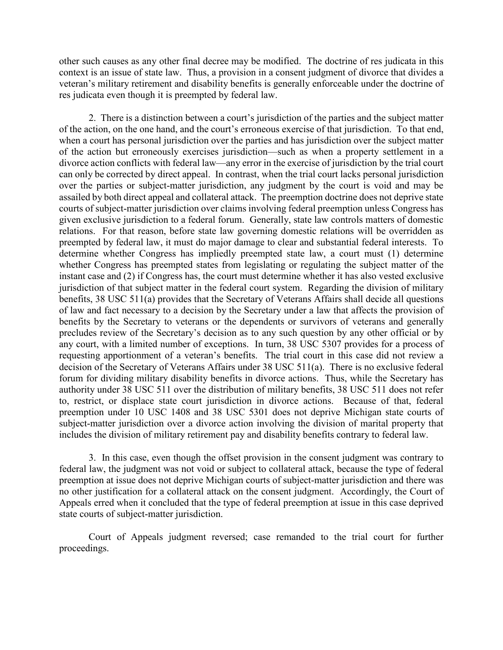other such causes as any other final decree may be modified. The doctrine of res judicata in this context is an issue of state law. Thus, a provision in a consent judgment of divorce that divides a veteran's military retirement and disability benefits is generally enforceable under the doctrine of res judicata even though it is preempted by federal law.

2. There is a distinction between a court's jurisdiction of the parties and the subject matter of the action, on the one hand, and the court's erroneous exercise of that jurisdiction. To that end, when a court has personal jurisdiction over the parties and has jurisdiction over the subject matter of the action but erroneously exercises jurisdiction—such as when a property settlement in a divorce action conflicts with federal law—any error in the exercise of jurisdiction by the trial court can only be corrected by direct appeal. In contrast, when the trial court lacks personal jurisdiction over the parties or subject-matter jurisdiction, any judgment by the court is void and may be assailed by both direct appeal and collateral attack. The preemption doctrine does not deprive state courts of subject-matter jurisdiction over claims involving federal preemption unless Congress has given exclusive jurisdiction to a federal forum. Generally, state law controls matters of domestic relations. For that reason, before state law governing domestic relations will be overridden as preempted by federal law, it must do major damage to clear and substantial federal interests. To determine whether Congress has impliedly preempted state law, a court must (1) determine whether Congress has preempted states from legislating or regulating the subject matter of the instant case and (2) if Congress has, the court must determine whether it has also vested exclusive jurisdiction of that subject matter in the federal court system. Regarding the division of military benefits, 38 USC 511(a) provides that the Secretary of Veterans Affairs shall decide all questions of law and fact necessary to a decision by the Secretary under a law that affects the provision of benefits by the Secretary to veterans or the dependents or survivors of veterans and generally precludes review of the Secretary's decision as to any such question by any other official or by any court, with a limited number of exceptions. In turn, 38 USC 5307 provides for a process of requesting apportionment of a veteran's benefits. The trial court in this case did not review a decision of the Secretary of Veterans Affairs under 38 USC 511(a). There is no exclusive federal forum for dividing military disability benefits in divorce actions. Thus, while the Secretary has authority under 38 USC 511 over the distribution of military benefits, 38 USC 511 does not refer to, restrict, or displace state court jurisdiction in divorce actions. Because of that, federal preemption under 10 USC 1408 and 38 USC 5301 does not deprive Michigan state courts of subject-matter jurisdiction over a divorce action involving the division of marital property that includes the division of military retirement pay and disability benefits contrary to federal law.

3. In this case, even though the offset provision in the consent judgment was contrary to federal law, the judgment was not void or subject to collateral attack, because the type of federal preemption at issue does not deprive Michigan courts of subject-matter jurisdiction and there was no other justification for a collateral attack on the consent judgment. Accordingly, the Court of Appeals erred when it concluded that the type of federal preemption at issue in this case deprived state courts of subject-matter jurisdiction.

Court of Appeals judgment reversed; case remanded to the trial court for further proceedings.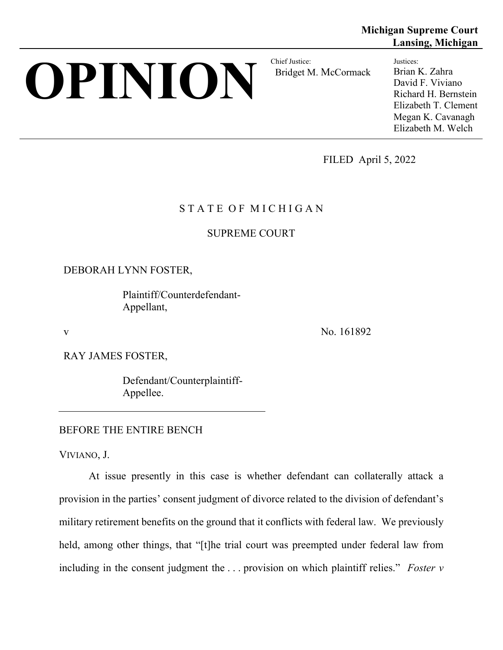# **OPINION** Bridget M

Bridget M. McCormack

**Michigan Supreme Court Lansing, Michigan**

> Justices: Brian K. Zahra David F. Viviano Richard H. Bernstein Elizabeth T. Clement Megan K. Cavanagh Elizabeth M. Welch

FILED April 5, 2022

# STATE OF MICHIGAN

# SUPREME COURT

# DEBORAH LYNN FOSTER,

Plaintiff/Counterdefendant-Appellant,

v No. 161892

RAY JAMES FOSTER,

Defendant/Counterplaintiff-Appellee.

## BEFORE THE ENTIRE BENCH

VIVIANO, J.

At issue presently in this case is whether defendant can collaterally attack a provision in the parties' consent judgment of divorce related to the division of defendant's military retirement benefits on the ground that it conflicts with federal law. We previously held, among other things, that "[t]he trial court was preempted under federal law from including in the consent judgment the . . . provision on which plaintiff relies." *Foster v*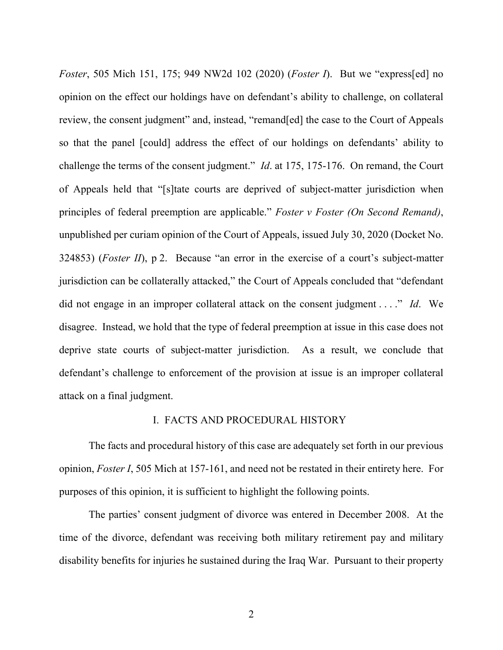*Foster*, 505 Mich 151, 175; 949 NW2d 102 (2020) (*Foster I*). But we "express[ed] no opinion on the effect our holdings have on defendant's ability to challenge, on collateral review, the consent judgment" and, instead, "remand[ed] the case to the Court of Appeals so that the panel [could] address the effect of our holdings on defendants' ability to challenge the terms of the consent judgment." *Id*. at 175, 175-176. On remand, the Court of Appeals held that "[s]tate courts are deprived of subject-matter jurisdiction when principles of federal preemption are applicable." *Foster v Foster (On Second Remand)*, unpublished per curiam opinion of the Court of Appeals, issued July 30, 2020 (Docket No. 324853) (*Foster II*), p 2. Because "an error in the exercise of a court's subject-matter jurisdiction can be collaterally attacked," the Court of Appeals concluded that "defendant did not engage in an improper collateral attack on the consent judgment . . . ." *Id*. We disagree. Instead, we hold that the type of federal preemption at issue in this case does not deprive state courts of subject-matter jurisdiction. As a result, we conclude that defendant's challenge to enforcement of the provision at issue is an improper collateral attack on a final judgment.

### I. FACTS AND PROCEDURAL HISTORY

The facts and procedural history of this case are adequately set forth in our previous opinion, *Foster I*, 505 Mich at 157-161, and need not be restated in their entirety here. For purposes of this opinion, it is sufficient to highlight the following points.

The parties' consent judgment of divorce was entered in December 2008. At the time of the divorce, defendant was receiving both military retirement pay and military disability benefits for injuries he sustained during the Iraq War. Pursuant to their property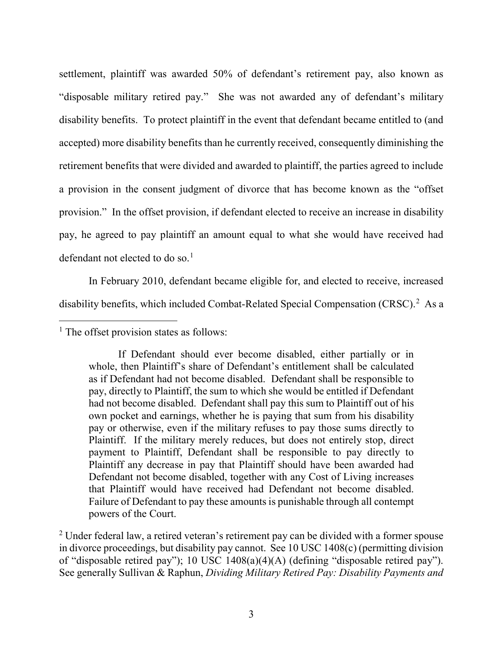settlement, plaintiff was awarded 50% of defendant's retirement pay, also known as "disposable military retired pay." She was not awarded any of defendant's military disability benefits. To protect plaintiff in the event that defendant became entitled to (and accepted) more disability benefits than he currently received, consequently diminishing the retirement benefits that were divided and awarded to plaintiff, the parties agreed to include a provision in the consent judgment of divorce that has become known as the "offset provision." In the offset provision, if defendant elected to receive an increase in disability pay, he agreed to pay plaintiff an amount equal to what she would have received had defendant not elected to do so. [1](#page-5-0)

In February 2010, defendant became eligible for, and elected to receive, increased disability benefits, which included Combat-Related Special Compensation (CRSC).<sup>[2](#page-5-1)</sup> As a

<span id="page-5-0"></span> $<sup>1</sup>$  The offset provision states as follows:</sup>

If Defendant should ever become disabled, either partially or in whole, then Plaintiff's share of Defendant's entitlement shall be calculated as if Defendant had not become disabled. Defendant shall be responsible to pay, directly to Plaintiff, the sum to which she would be entitled if Defendant had not become disabled. Defendant shall pay this sum to Plaintiff out of his own pocket and earnings, whether he is paying that sum from his disability pay or otherwise, even if the military refuses to pay those sums directly to Plaintiff. If the military merely reduces, but does not entirely stop, direct payment to Plaintiff, Defendant shall be responsible to pay directly to Plaintiff any decrease in pay that Plaintiff should have been awarded had Defendant not become disabled, together with any Cost of Living increases that Plaintiff would have received had Defendant not become disabled. Failure of Defendant to pay these amounts is punishable through all contempt powers of the Court.

<span id="page-5-1"></span> $2$  Under federal law, a retired veteran's retirement pay can be divided with a former spouse in divorce proceedings, but disability pay cannot. See 10 USC 1408(c) (permitting division of "disposable retired pay"); 10 USC 1408(a)(4)(A) (defining "disposable retired pay"). See generally Sullivan & Raphun, *Dividing Military Retired Pay: Disability Payments and*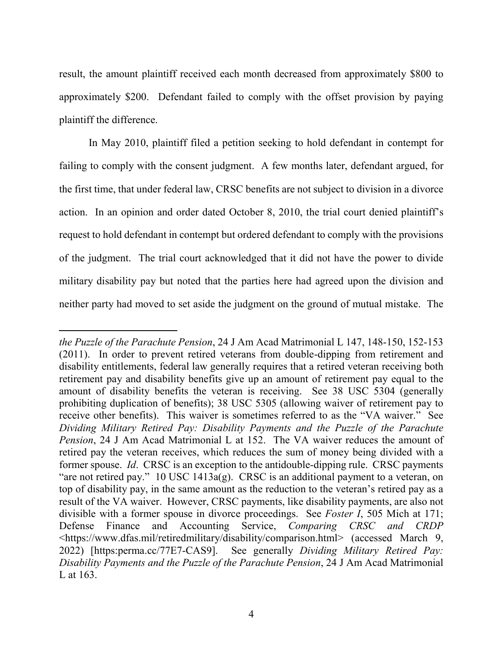result, the amount plaintiff received each month decreased from approximately \$800 to approximately \$200. Defendant failed to comply with the offset provision by paying plaintiff the difference.

In May 2010, plaintiff filed a petition seeking to hold defendant in contempt for failing to comply with the consent judgment. A few months later, defendant argued, for the first time, that under federal law, CRSC benefits are not subject to division in a divorce action. In an opinion and order dated October 8, 2010, the trial court denied plaintiff's request to hold defendant in contempt but ordered defendant to comply with the provisions of the judgment. The trial court acknowledged that it did not have the power to divide military disability pay but noted that the parties here had agreed upon the division and neither party had moved to set aside the judgment on the ground of mutual mistake. The

 $\overline{a}$ *the Puzzle of the Parachute Pension*, 24 J Am Acad Matrimonial L 147, 148-150, 152-153 (2011). In order to prevent retired veterans from double-dipping from retirement and disability entitlements, federal law generally requires that a retired veteran receiving both retirement pay and disability benefits give up an amount of retirement pay equal to the amount of disability benefits the veteran is receiving. See 38 USC 5304 (generally prohibiting duplication of benefits); 38 USC 5305 (allowing waiver of retirement pay to receive other benefits). This waiver is sometimes referred to as the "VA waiver." See *Dividing Military Retired Pay: Disability Payments and the Puzzle of the Parachute Pension*, 24 J Am Acad Matrimonial L at 152. The VA waiver reduces the amount of retired pay the veteran receives, which reduces the sum of money being divided with a former spouse. *Id*. CRSC is an exception to the antidouble-dipping rule. CRSC payments "are not retired pay." 10 USC 1413 $a(g)$ . CRSC is an additional payment to a veteran, on top of disability pay, in the same amount as the reduction to the veteran's retired pay as a result of the VA waiver. However, CRSC payments, like disability payments, are also not divisible with a former spouse in divorce proceedings. See *Foster I*, 505 Mich at 171; Defense Finance and Accounting Service, *Comparing CRSC and CRDP* <https://www.dfas.mil/retiredmilitary/disability/comparison.html> (accessed March 9, 2022) [https:perma.cc/77E7-CAS9]. See generally *Dividing Military Retired Pay: Disability Payments and the Puzzle of the Parachute Pension*, 24 J Am Acad Matrimonial L at 163.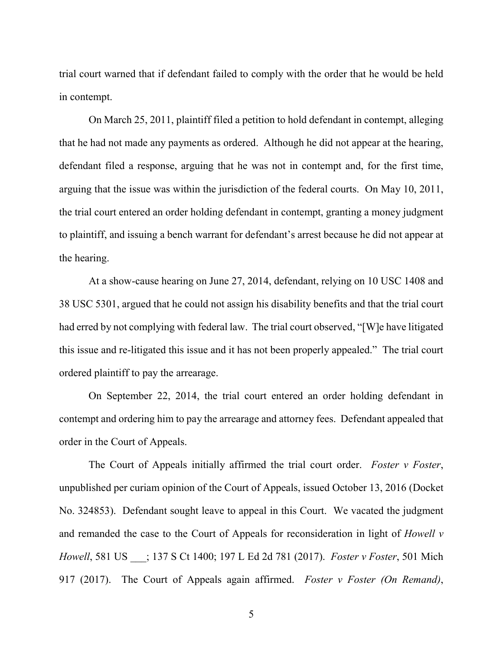trial court warned that if defendant failed to comply with the order that he would be held in contempt.

On March 25, 2011, plaintiff filed a petition to hold defendant in contempt, alleging that he had not made any payments as ordered. Although he did not appear at the hearing, defendant filed a response, arguing that he was not in contempt and, for the first time, arguing that the issue was within the jurisdiction of the federal courts. On May 10, 2011, the trial court entered an order holding defendant in contempt, granting a money judgment to plaintiff, and issuing a bench warrant for defendant's arrest because he did not appear at the hearing.

At a show-cause hearing on June 27, 2014, defendant, relying on 10 USC 1408 and 38 USC 5301, argued that he could not assign his disability benefits and that the trial court had erred by not complying with federal law. The trial court observed, "[W]e have litigated this issue and re-litigated this issue and it has not been properly appealed." The trial court ordered plaintiff to pay the arrearage.

On September 22, 2014, the trial court entered an order holding defendant in contempt and ordering him to pay the arrearage and attorney fees. Defendant appealed that order in the Court of Appeals.

The Court of Appeals initially affirmed the trial court order. *Foster v Foster*, unpublished per curiam opinion of the Court of Appeals, issued October 13, 2016 (Docket No. 324853). Defendant sought leave to appeal in this Court. We vacated the judgment and remanded the case to the Court of Appeals for reconsideration in light of *Howell v Howell*, 581 US \_\_\_; 137 S Ct 1400; 197 L Ed 2d 781 (2017). *Foster v Foster*, 501 Mich 917 (2017). The Court of Appeals again affirmed. *Foster v Foster (On Remand)*,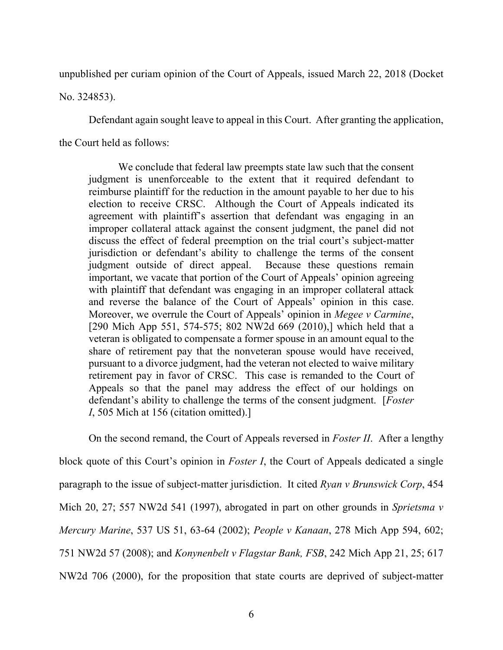unpublished per curiam opinion of the Court of Appeals, issued March 22, 2018 (Docket

No. 324853).

Defendant again sought leave to appeal in this Court. After granting the application,

the Court held as follows:

We conclude that federal law preempts state law such that the consent judgment is unenforceable to the extent that it required defendant to reimburse plaintiff for the reduction in the amount payable to her due to his election to receive CRSC. Although the Court of Appeals indicated its agreement with plaintiff's assertion that defendant was engaging in an improper collateral attack against the consent judgment, the panel did not discuss the effect of federal preemption on the trial court's subject-matter jurisdiction or defendant's ability to challenge the terms of the consent judgment outside of direct appeal. Because these questions remain important, we vacate that portion of the Court of Appeals' opinion agreeing with plaintiff that defendant was engaging in an improper collateral attack and reverse the balance of the Court of Appeals' opinion in this case. Moreover, we overrule the Court of Appeals' opinion in *Megee v Carmine*, [290 Mich App 551, 574-575; 802 NW2d 669 (2010),] which held that a veteran is obligated to compensate a former spouse in an amount equal to the share of retirement pay that the nonveteran spouse would have received, pursuant to a divorce judgment, had the veteran not elected to waive military retirement pay in favor of CRSC. This case is remanded to the Court of Appeals so that the panel may address the effect of our holdings on defendant's ability to challenge the terms of the consent judgment. [*Foster I*, 505 Mich at 156 (citation omitted).]

On the second remand, the Court of Appeals reversed in *Foster II*. After a lengthy block quote of this Court's opinion in *Foster I*, the Court of Appeals dedicated a single paragraph to the issue of subject-matter jurisdiction. It cited *Ryan v Brunswick Corp*, 454 Mich 20, 27; 557 NW2d 541 (1997), abrogated in part on other grounds in *Sprietsma v Mercury Marine*, 537 US 51, 63-64 (2002); *People v Kanaan*, 278 Mich App 594, 602; 751 NW2d 57 (2008); and *Konynenbelt v Flagstar Bank, FSB*, 242 Mich App 21, 25; 617 NW2d 706 (2000), for the proposition that state courts are deprived of subject-matter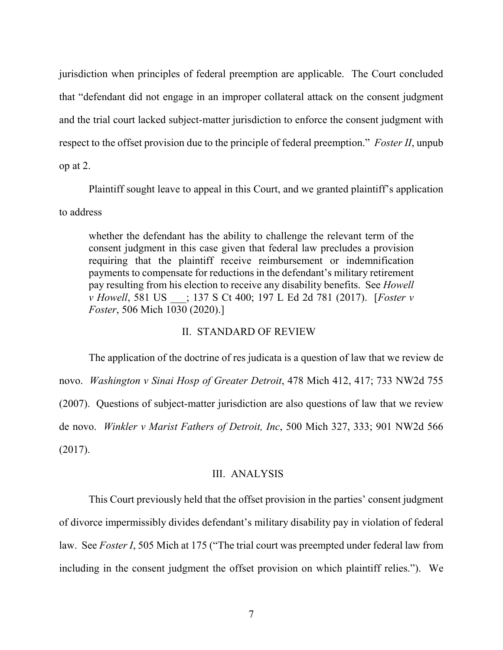jurisdiction when principles of federal preemption are applicable. The Court concluded that "defendant did not engage in an improper collateral attack on the consent judgment and the trial court lacked subject-matter jurisdiction to enforce the consent judgment with respect to the offset provision due to the principle of federal preemption." *Foster II*, unpub op at 2.

Plaintiff sought leave to appeal in this Court, and we granted plaintiff's application to address

whether the defendant has the ability to challenge the relevant term of the consent judgment in this case given that federal law precludes a provision requiring that the plaintiff receive reimbursement or indemnification payments to compensate for reductions in the defendant's military retirement pay resulting from his election to receive any disability benefits. See *Howell v Howell*, 581 US \_\_\_; 137 S Ct 400; 197 L Ed 2d 781 (2017). [*Foster v Foster*, 506 Mich 1030 (2020).]

### II. STANDARD OF REVIEW

The application of the doctrine of res judicata is a question of law that we review de novo. *Washington v Sinai Hosp of Greater Detroit*, 478 Mich 412, 417; 733 NW2d 755 (2007). Questions of subject-matter jurisdiction are also questions of law that we review de novo. *Winkler v Marist Fathers of Detroit, Inc*, 500 Mich 327, 333; 901 NW2d 566 (2017).

### III. ANALYSIS

This Court previously held that the offset provision in the parties' consent judgment of divorce impermissibly divides defendant's military disability pay in violation of federal law. See *Foster I*, 505 Mich at 175 ("The trial court was preempted under federal law from including in the consent judgment the offset provision on which plaintiff relies."). We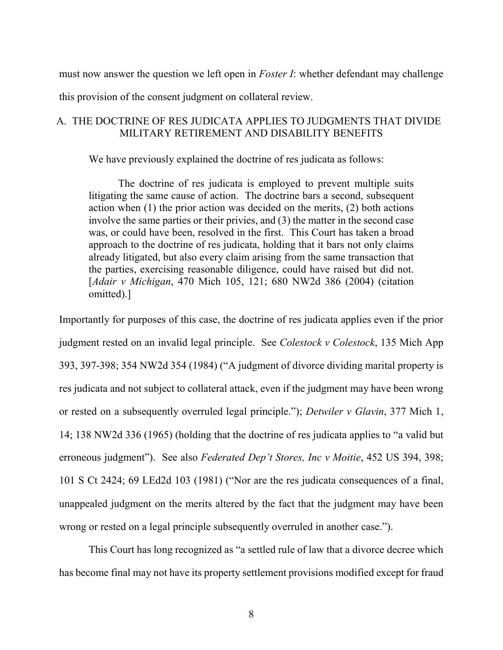must now answer the question we left open in *Foster I*: whether defendant may challenge

this provision of the consent judgment on collateral review.

## A. THE DOCTRINE OF RES JUDICATA APPLIES TO JUDGMENTS THAT DIVIDE MILITARY RETIREMENT AND DISABILITY BENEFITS

We have previously explained the doctrine of res judicata as follows:

The doctrine of res judicata is employed to prevent multiple suits litigating the same cause of action. The doctrine bars a second, subsequent action when (1) the prior action was decided on the merits, (2) both actions involve the same parties or their privies, and (3) the matter in the second case was, or could have been, resolved in the first. This Court has taken a broad approach to the doctrine of res judicata, holding that it bars not only claims already litigated, but also every claim arising from the same transaction that the parties, exercising reasonable diligence, could have raised but did not. [*Adair v Michigan*, 470 Mich 105, 121; 680 NW2d 386 (2004) (citation omitted).]

Importantly for purposes of this case, the doctrine of res judicata applies even if the prior judgment rested on an invalid legal principle. See *Colestock v Colestock*, 135 Mich App 393, 397-398; 354 NW2d 354 (1984) ("A judgment of divorce dividing marital property is res judicata and not subject to collateral attack, even if the judgment may have been wrong or rested on a subsequently overruled legal principle."); *Detwiler v Glavin*, 377 Mich 1, 14; 138 NW2d 336 (1965) (holding that the doctrine of res judicata applies to "a valid but erroneous judgment"). See also *Federated Dep't Stores, Inc v Moitie*, 452 US 394, 398; 101 S Ct 2424; 69 LEd2d 103 (1981) ("Nor are the res judicata consequences of a final, unappealed judgment on the merits altered by the fact that the judgment may have been wrong or rested on a legal principle subsequently overruled in another case.").

This Court has long recognized as "a settled rule of law that a divorce decree which has become final may not have its property settlement provisions modified except for fraud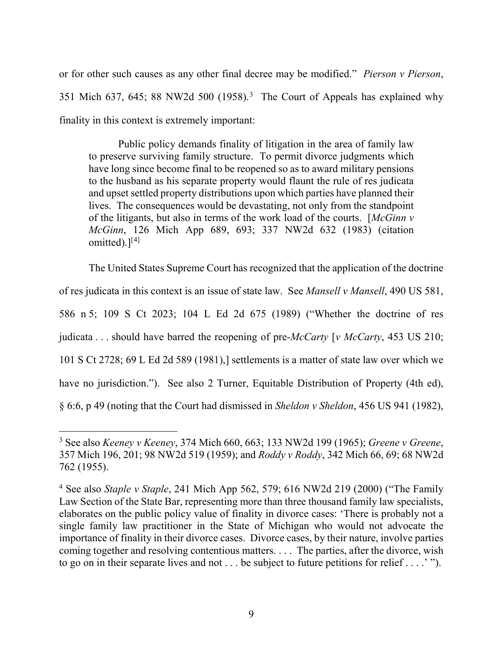or for other such causes as any other final decree may be modified." *Pierson v Pierson*, [3](#page-11-0)51 Mich 637, 645; 88 NW2d 500 (1958).<sup>3</sup> The Court of Appeals has explained why finality in this context is extremely important:

Public policy demands finality of litigation in the area of family law to preserve surviving family structure. To permit divorce judgments which have long since become final to be reopened so as to award military pensions to the husband as his separate property would flaunt the rule of res judicata and upset settled property distributions upon which parties have planned their lives. The consequences would be devastating, not only from the standpoint of the litigants, but also in terms of the work load of the courts. [*McGinn v McGinn*, 126 Mich App 689, 693; 337 NW2d 632 (1983) (citation omitted). $]^{[4]}$  $]^{[4]}$  $]^{[4]}$ 

The United States Supreme Court has recognized that the application of the doctrine of res judicata in this context is an issue of state law. See *Mansell v Mansell*, 490 US 581, 586 n 5; 109 S Ct 2023; 104 L Ed 2d 675 (1989) ("Whether the doctrine of res judicata . . . should have barred the reopening of pre-*McCarty* [*v McCarty*, 453 US 210; 101 S Ct 2728; 69 L Ed 2d 589 (1981),] settlements is a matter of state law over which we have no jurisdiction."). See also 2 Turner, Equitable Distribution of Property (4th ed), § 6:6, p 49 (noting that the Court had dismissed in *Sheldon v Sheldon*, 456 US 941 (1982),

<span id="page-11-0"></span> <sup>3</sup> See also *Keeney v Keeney*, 374 Mich 660, 663; 133 NW2d 199 (1965); *Greene v Greene*, 357 Mich 196, 201; 98 NW2d 519 (1959); and *Roddy v Roddy*, 342 Mich 66, 69; 68 NW2d 762 (1955).

<span id="page-11-1"></span><sup>4</sup> See also *Staple v Staple*, 241 Mich App 562, 579; 616 NW2d 219 (2000) ("The Family Law Section of the State Bar, representing more than three thousand family law specialists, elaborates on the public policy value of finality in divorce cases: 'There is probably not a single family law practitioner in the State of Michigan who would not advocate the importance of finality in their divorce cases. Divorce cases, by their nature, involve parties coming together and resolving contentious matters. . . . The parties, after the divorce, wish to go on in their separate lives and not . . . be subject to future petitions for relief . . . .' ").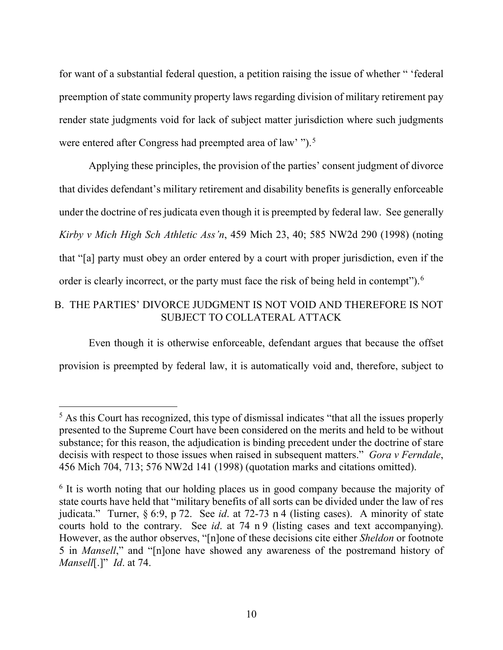for want of a substantial federal question, a petition raising the issue of whether " 'federal preemption of state community property laws regarding division of military retirement pay render state judgments void for lack of subject matter jurisdiction where such judgments were entered after Congress had preempted area of law' ").<sup>[5](#page-12-0)</sup>

Applying these principles, the provision of the parties' consent judgment of divorce that divides defendant's military retirement and disability benefits is generally enforceable under the doctrine of res judicata even though it is preempted by federal law. See generally *Kirby v Mich High Sch Athletic Ass'n*, 459 Mich 23, 40; 585 NW2d 290 (1998) (noting that "[a] party must obey an order entered by a court with proper jurisdiction, even if the order is clearly incorrect, or the party must face the risk of being held in contempt").<sup>[6](#page-12-1)</sup>

# B. THE PARTIES' DIVORCE JUDGMENT IS NOT VOID AND THEREFORE IS NOT SUBJECT TO COLLATERAL ATTACK

Even though it is otherwise enforceable, defendant argues that because the offset provision is preempted by federal law, it is automatically void and, therefore, subject to

<span id="page-12-0"></span><sup>&</sup>lt;sup>5</sup> As this Court has recognized, this type of dismissal indicates "that all the issues properly presented to the Supreme Court have been considered on the merits and held to be without substance; for this reason, the adjudication is binding precedent under the doctrine of stare decisis with respect to those issues when raised in subsequent matters." *Gora v Ferndale*, 456 Mich 704, 713; 576 NW2d 141 (1998) (quotation marks and citations omitted).

<span id="page-12-1"></span><sup>&</sup>lt;sup>6</sup> It is worth noting that our holding places us in good company because the majority of state courts have held that "military benefits of all sorts can be divided under the law of res judicata." Turner, § 6:9, p 72. See *id*. at 72-73 n 4 (listing cases). A minority of state courts hold to the contrary. See *id*. at 74 n 9 (listing cases and text accompanying). However, as the author observes, "[n]one of these decisions cite either *Sheldon* or footnote 5 in *Mansell*," and "[n]one have showed any awareness of the postremand history of *Mansell*[.]" *Id*. at 74.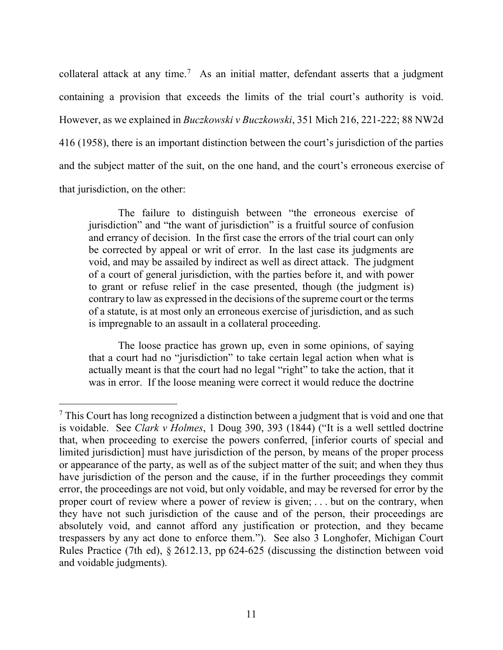collateral attack at any time.<sup>[7](#page-13-0)</sup> As an initial matter, defendant asserts that a judgment containing a provision that exceeds the limits of the trial court's authority is void. However, as we explained in *Buczkowski v Buczkowski*, 351 Mich 216, 221-222; 88 NW2d 416 (1958), there is an important distinction between the court's jurisdiction of the parties and the subject matter of the suit, on the one hand, and the court's erroneous exercise of that jurisdiction, on the other:

The failure to distinguish between "the erroneous exercise of jurisdiction" and "the want of jurisdiction" is a fruitful source of confusion and errancy of decision. In the first case the errors of the trial court can only be corrected by appeal or writ of error. In the last case its judgments are void, and may be assailed by indirect as well as direct attack. The judgment of a court of general jurisdiction, with the parties before it, and with power to grant or refuse relief in the case presented, though (the judgment is) contrary to law as expressed in the decisions of the supreme court or the terms of a statute, is at most only an erroneous exercise of jurisdiction, and as such is impregnable to an assault in a collateral proceeding.

The loose practice has grown up, even in some opinions, of saying that a court had no "jurisdiction" to take certain legal action when what is actually meant is that the court had no legal "right" to take the action, that it was in error. If the loose meaning were correct it would reduce the doctrine

<span id="page-13-0"></span> $<sup>7</sup>$  This Court has long recognized a distinction between a judgment that is void and one that</sup> is voidable. See *Clark v Holmes*, 1 Doug 390, 393 (1844) ("It is a well settled doctrine that, when proceeding to exercise the powers conferred, [inferior courts of special and limited jurisdiction] must have jurisdiction of the person, by means of the proper process or appearance of the party, as well as of the subject matter of the suit; and when they thus have jurisdiction of the person and the cause, if in the further proceedings they commit error, the proceedings are not void, but only voidable, and may be reversed for error by the proper court of review where a power of review is given; . . . but on the contrary, when they have not such jurisdiction of the cause and of the person, their proceedings are absolutely void, and cannot afford any justification or protection, and they became trespassers by any act done to enforce them."). See also 3 Longhofer, Michigan Court Rules Practice (7th ed), § 2612.13, pp 624-625 (discussing the distinction between void and voidable judgments).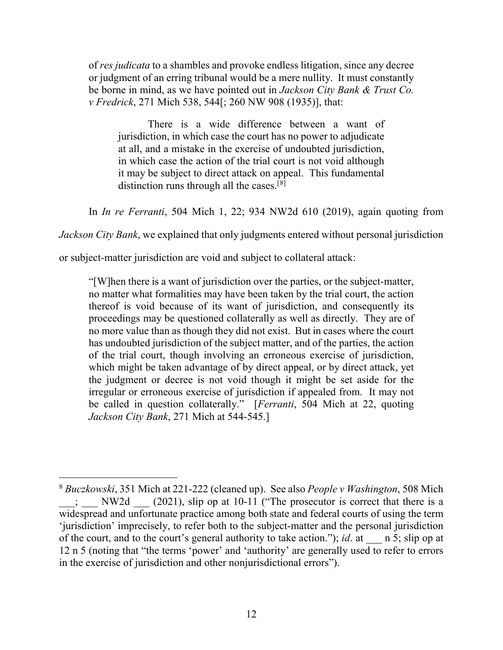of *res judicata* to a shambles and provoke endless litigation, since any decree or judgment of an erring tribunal would be a mere nullity. It must constantly be borne in mind, as we have pointed out in *Jackson City Bank & Trust Co. v Fredrick*, 271 Mich 538, 544[; 260 NW 908 (1935)], that:

There is a wide difference between a want of jurisdiction, in which case the court has no power to adjudicate at all, and a mistake in the exercise of undoubted jurisdiction, in which case the action of the trial court is not void although it may be subject to direct attack on appeal. This fundamental distinction runs through all the cases.<sup>[[8](#page-14-0)]</sup>

In *In re Ferranti*, 504 Mich 1, 22; 934 NW2d 610 (2019), again quoting from

*Jackson City Bank*, we explained that only judgments entered without personal jurisdiction

or subject-matter jurisdiction are void and subject to collateral attack:

"[W]hen there is a want of jurisdiction over the parties, or the subject-matter, no matter what formalities may have been taken by the trial court, the action thereof is void because of its want of jurisdiction, and consequently its proceedings may be questioned collaterally as well as directly. They are of no more value than as though they did not exist. But in cases where the court has undoubted jurisdiction of the subject matter, and of the parties, the action of the trial court, though involving an erroneous exercise of jurisdiction, which might be taken advantage of by direct appeal, or by direct attack, yet the judgment or decree is not void though it might be set aside for the irregular or erroneous exercise of jurisdiction if appealed from. It may not be called in question collaterally." [*Ferranti*, 504 Mich at 22, quoting *Jackson City Bank*, 271 Mich at 544-545.]

<span id="page-14-0"></span> <sup>8</sup> *Buczkowski*, 351 Mich at 221-222 (cleaned up). See also *People v Washington*, 508 Mich \_\_\_; \_\_\_ NW2d \_\_\_ (2021), slip op at 10-11 ("The prosecutor is correct that there is a widespread and unfortunate practice among both state and federal courts of using the term 'jurisdiction' imprecisely, to refer both to the subject-matter and the personal jurisdiction of the court, and to the court's general authority to take action."); *id*. at \_\_\_ n 5; slip op at 12 n 5 (noting that "the terms 'power' and 'authority' are generally used to refer to errors in the exercise of jurisdiction and other nonjurisdictional errors").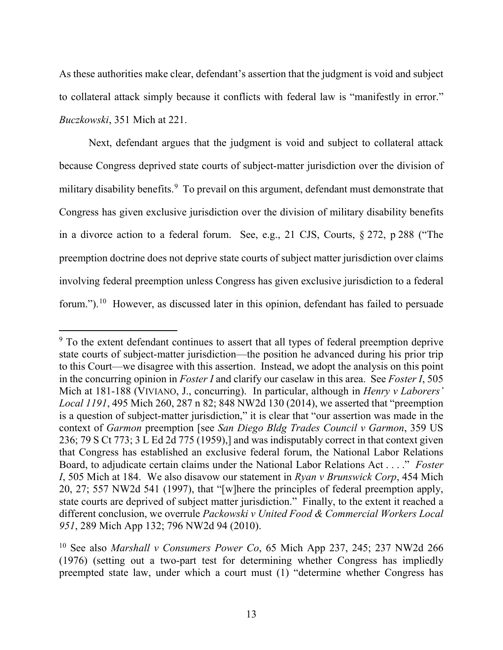As these authorities make clear, defendant's assertion that the judgment is void and subject to collateral attack simply because it conflicts with federal law is "manifestly in error." *Buczkowski*, 351 Mich at 221.

Next, defendant argues that the judgment is void and subject to collateral attack because Congress deprived state courts of subject-matter jurisdiction over the division of military disability benefits.<sup>[9](#page-15-0)</sup> To prevail on this argument, defendant must demonstrate that Congress has given exclusive jurisdiction over the division of military disability benefits in a divorce action to a federal forum. See, e.g., 21 CJS, Courts, § 272, p 288 ("The preemption doctrine does not deprive state courts of subject matter jurisdiction over claims involving federal preemption unless Congress has given exclusive jurisdiction to a federal forum.").<sup>[10](#page-15-1)</sup> However, as discussed later in this opinion, defendant has failed to persuade

<span id="page-15-0"></span><sup>&</sup>lt;sup>9</sup> To the extent defendant continues to assert that all types of federal preemption deprive state courts of subject-matter jurisdiction—the position he advanced during his prior trip to this Court—we disagree with this assertion. Instead, we adopt the analysis on this point in the concurring opinion in *Foster I* and clarify our caselaw in this area. See *Foster I*, 505 Mich at 181-188 (VIVIANO, J., concurring). In particular, although in *Henry v Laborers' Local 1191*, 495 Mich 260, 287 n 82; 848 NW2d 130 (2014), we asserted that "preemption is a question of subject-matter jurisdiction," it is clear that "our assertion was made in the context of *Garmon* preemption [see *San Diego Bldg Trades Council v Garmon*, 359 US 236; 79 S Ct 773; 3 L Ed 2d 775 (1959),] and was indisputably correct in that context given that Congress has established an exclusive federal forum, the National Labor Relations Board, to adjudicate certain claims under the National Labor Relations Act . . . ." *Foster I*, 505 Mich at 184. We also disavow our statement in *Ryan v Brunswick Corp*, 454 Mich 20, 27; 557 NW2d 541 (1997), that "[w]here the principles of federal preemption apply, state courts are deprived of subject matter jurisdiction." Finally, to the extent it reached a different conclusion, we overrule *Packowski v United Food & Commercial Workers Local 951*, 289 Mich App 132; 796 NW2d 94 (2010).

<span id="page-15-1"></span><sup>10</sup> See also *Marshall v Consumers Power Co*, 65 Mich App 237, 245; 237 NW2d 266 (1976) (setting out a two-part test for determining whether Congress has impliedly preempted state law, under which a court must (1) "determine whether Congress has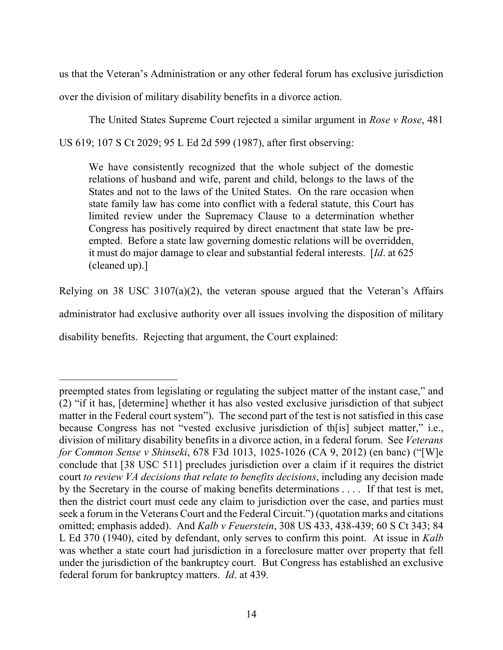us that the Veteran's Administration or any other federal forum has exclusive jurisdiction over the division of military disability benefits in a divorce action.

The United States Supreme Court rejected a similar argument in *Rose v Rose*, 481 US 619; 107 S Ct 2029; 95 L Ed 2d 599 (1987), after first observing:

We have consistently recognized that the whole subject of the domestic relations of husband and wife, parent and child, belongs to the laws of the States and not to the laws of the United States. On the rare occasion when state family law has come into conflict with a federal statute, this Court has limited review under the Supremacy Clause to a determination whether Congress has positively required by direct enactment that state law be preempted. Before a state law governing domestic relations will be overridden, it must do major damage to clear and substantial federal interests. [*Id*. at 625 (cleaned up).]

Relying on 38 USC 3107(a)(2), the veteran spouse argued that the Veteran's Affairs administrator had exclusive authority over all issues involving the disposition of military disability benefits. Rejecting that argument, the Court explained:

 $\overline{a}$ 

preempted states from legislating or regulating the subject matter of the instant case," and (2) "if it has, [determine] whether it has also vested exclusive jurisdiction of that subject matter in the Federal court system"). The second part of the test is not satisfied in this case because Congress has not "vested exclusive jurisdiction of th[is] subject matter," i.e., division of military disability benefits in a divorce action, in a federal forum. See *Veterans for Common Sense v Shinseki*, 678 F3d 1013, 1025-1026 (CA 9, 2012) (en banc) ("[W]e conclude that [38 USC 511] precludes jurisdiction over a claim if it requires the district court *to review VA decisions that relate to benefits decisions*, including any decision made by the Secretary in the course of making benefits determinations . . . . If that test is met, then the district court must cede any claim to jurisdiction over the case, and parties must seek a forum in the Veterans Court and the Federal Circuit.") (quotation marks and citations omitted; emphasis added). And *Kalb v Feuerstein*, 308 US 433, 438-439; 60 S Ct 343; 84 L Ed 370 (1940), cited by defendant, only serves to confirm this point. At issue in *Kalb* was whether a state court had jurisdiction in a foreclosure matter over property that fell under the jurisdiction of the bankruptcy court. But Congress has established an exclusive federal forum for bankruptcy matters. *Id*. at 439.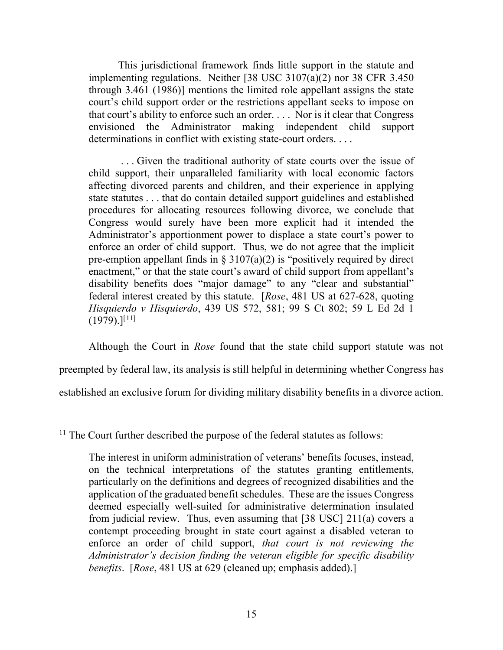This jurisdictional framework finds little support in the statute and implementing regulations. Neither [38 USC 3107(a)(2) nor 38 CFR 3.450 through 3.461 (1986)] mentions the limited role appellant assigns the state court's child support order or the restrictions appellant seeks to impose on that court's ability to enforce such an order. . . . Nor is it clear that Congress envisioned the Administrator making independent child support determinations in conflict with existing state-court orders....

. . . Given the traditional authority of state courts over the issue of child support, their unparalleled familiarity with local economic factors affecting divorced parents and children, and their experience in applying state statutes . . . that do contain detailed support guidelines and established procedures for allocating resources following divorce, we conclude that Congress would surely have been more explicit had it intended the Administrator's apportionment power to displace a state court's power to enforce an order of child support. Thus, we do not agree that the implicit pre-emption appellant finds in  $\S 3107(a)(2)$  is "positively required by direct enactment," or that the state court's award of child support from appellant's disability benefits does "major damage" to any "clear and substantial" federal interest created by this statute. [*Rose*, 481 US at 627-628, quoting *Hisquierdo v Hisquierdo*, 439 US 572, 581; 99 S Ct 802; 59 L Ed 2d 1  $(1979).$ <sup>[[11](#page-17-0)]</sup>

Although the Court in *Rose* found that the state child support statute was not preempted by federal law, its analysis is still helpful in determining whether Congress has established an exclusive forum for dividing military disability benefits in a divorce action.

<span id="page-17-0"></span> $11$  The Court further described the purpose of the federal statutes as follows:

The interest in uniform administration of veterans' benefits focuses, instead, on the technical interpretations of the statutes granting entitlements, particularly on the definitions and degrees of recognized disabilities and the application of the graduated benefit schedules. These are the issues Congress deemed especially well-suited for administrative determination insulated from judicial review. Thus, even assuming that [38 USC] 211(a) covers a contempt proceeding brought in state court against a disabled veteran to enforce an order of child support, *that court is not reviewing the Administrator's decision finding the veteran eligible for specific disability benefits*. [*Rose*, 481 US at 629 (cleaned up; emphasis added).]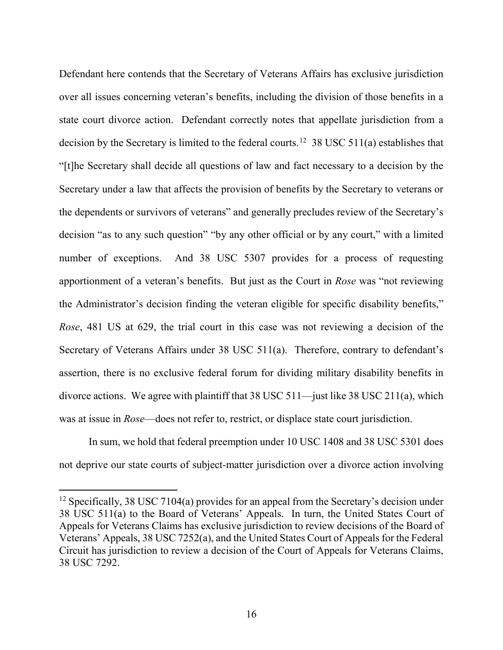Defendant here contends that the Secretary of Veterans Affairs has exclusive jurisdiction over all issues concerning veteran's benefits, including the division of those benefits in a state court divorce action. Defendant correctly notes that appellate jurisdiction from a decision by the Secretary is limited to the federal courts.<sup>[12](#page-18-0)</sup> 38 USC 511(a) establishes that "[t]he Secretary shall decide all questions of law and fact necessary to a decision by the Secretary under a law that affects the provision of benefits by the Secretary to veterans or the dependents or survivors of veterans" and generally precludes review of the Secretary's decision "as to any such question" "by any other official or by any court," with a limited number of exceptions. And 38 USC 5307 provides for a process of requesting apportionment of a veteran's benefits. But just as the Court in *Rose* was "not reviewing the Administrator's decision finding the veteran eligible for specific disability benefits," *Rose*, 481 US at 629, the trial court in this case was not reviewing a decision of the Secretary of Veterans Affairs under 38 USC 511(a). Therefore, contrary to defendant's assertion, there is no exclusive federal forum for dividing military disability benefits in divorce actions. We agree with plaintiff that 38 USC 511—just like 38 USC 211(a), which was at issue in *Rose*—does not refer to, restrict, or displace state court jurisdiction.

In sum, we hold that federal preemption under 10 USC 1408 and 38 USC 5301 does not deprive our state courts of subject-matter jurisdiction over a divorce action involving

<span id="page-18-0"></span><sup>&</sup>lt;sup>12</sup> Specifically, 38 USC 7104(a) provides for an appeal from the Secretary's decision under 38 USC 511(a) to the Board of Veterans' Appeals. In turn, the United States Court of Appeals for Veterans Claims has exclusive jurisdiction to review decisions of the Board of Veterans' Appeals, 38 USC 7252(a), and the United States Court of Appeals for the Federal Circuit has jurisdiction to review a decision of the Court of Appeals for Veterans Claims, 38 USC 7292.